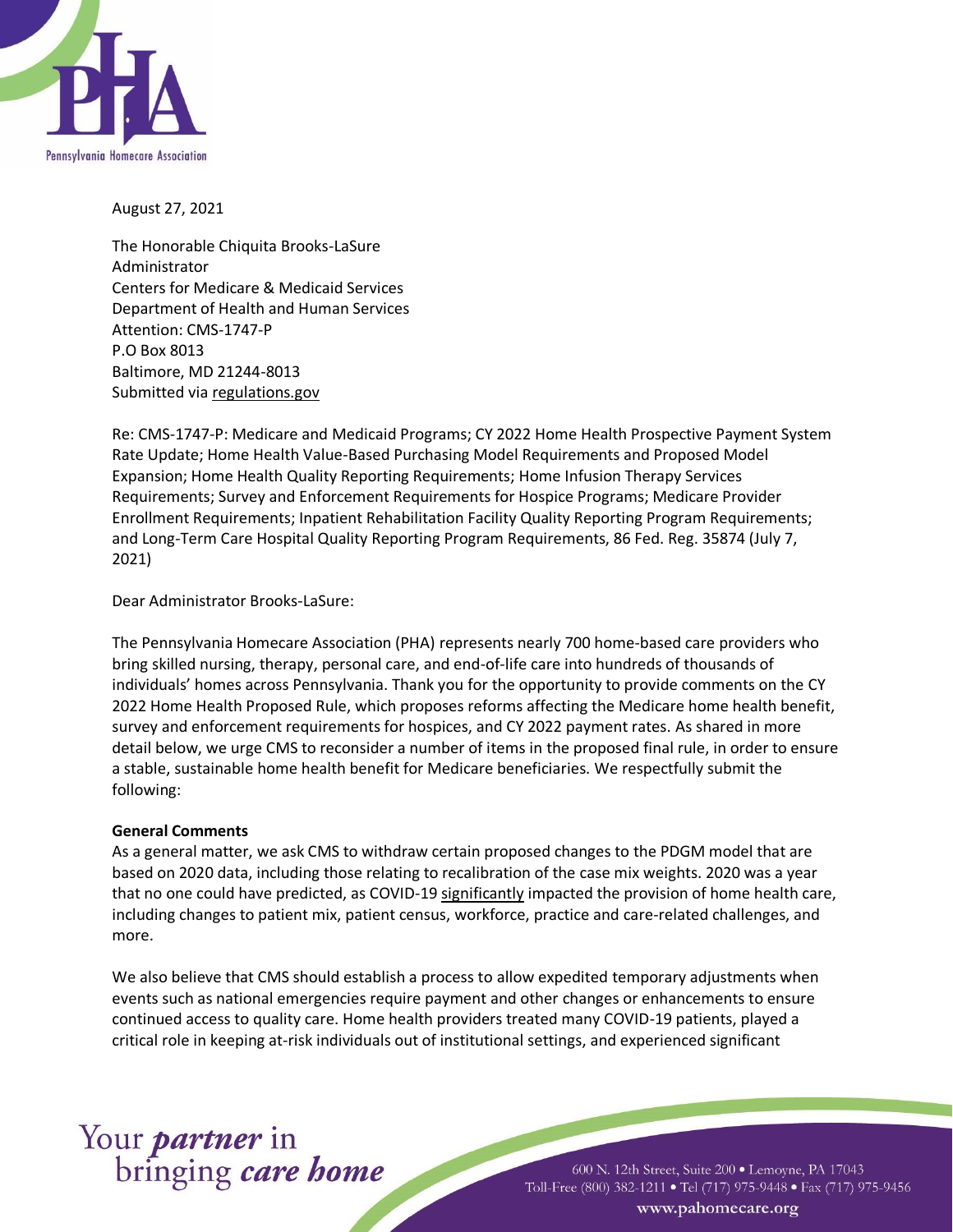

August 27, 2021

The Honorable Chiquita Brooks-LaSure Administrator Centers for Medicare & Medicaid Services Department of Health and Human Services Attention: CMS-1747-P P.O Box 8013 Baltimore, MD 21244-8013 Submitted via regulations.gov

Re: CMS-1747-P: Medicare and Medicaid Programs; CY 2022 Home Health Prospective Payment System Rate Update; Home Health Value-Based Purchasing Model Requirements and Proposed Model Expansion; Home Health Quality Reporting Requirements; Home Infusion Therapy Services Requirements; Survey and Enforcement Requirements for Hospice Programs; Medicare Provider Enrollment Requirements; Inpatient Rehabilitation Facility Quality Reporting Program Requirements; and Long-Term Care Hospital Quality Reporting Program Requirements, 86 Fed. Reg. 35874 (July 7, 2021)

Dear Administrator Brooks-LaSure:

The Pennsylvania Homecare Association (PHA) represents nearly 700 home-based care providers who bring skilled nursing, therapy, personal care, and end-of-life care into hundreds of thousands of individuals' homes across Pennsylvania. Thank you for the opportunity to provide comments on the CY 2022 Home Health Proposed Rule, which proposes reforms affecting the Medicare home health benefit, survey and enforcement requirements for hospices, and CY 2022 payment rates. As shared in more detail below, we urge CMS to reconsider a number of items in the proposed final rule, in order to ensure a stable, sustainable home health benefit for Medicare beneficiaries. We respectfully submit the following:

# **General Comments**

As a general matter, we ask CMS to withdraw certain proposed changes to the PDGM model that are based on 2020 data, including those relating to recalibration of the case mix weights. 2020 was a year that no one could have predicted, as COVID-19 significantly impacted the provision of home health care, including changes to patient mix, patient census, workforce, practice and care-related challenges, and more.

We also believe that CMS should establish a process to allow expedited temporary adjustments when events such as national emergencies require payment and other changes or enhancements to ensure continued access to quality care. Home health providers treated many COVID-19 patients, played a critical role in keeping at-risk individuals out of institutional settings, and experienced significant

# Your *partner* in<br>bringing *care home*

600 N. 12th Street, Suite 200 · Lemoyne, PA 17043 Toll-Free (800) 382-1211 • Tel (717) 975-9448 • Fax (717) 975-9456 www.pahomecare.org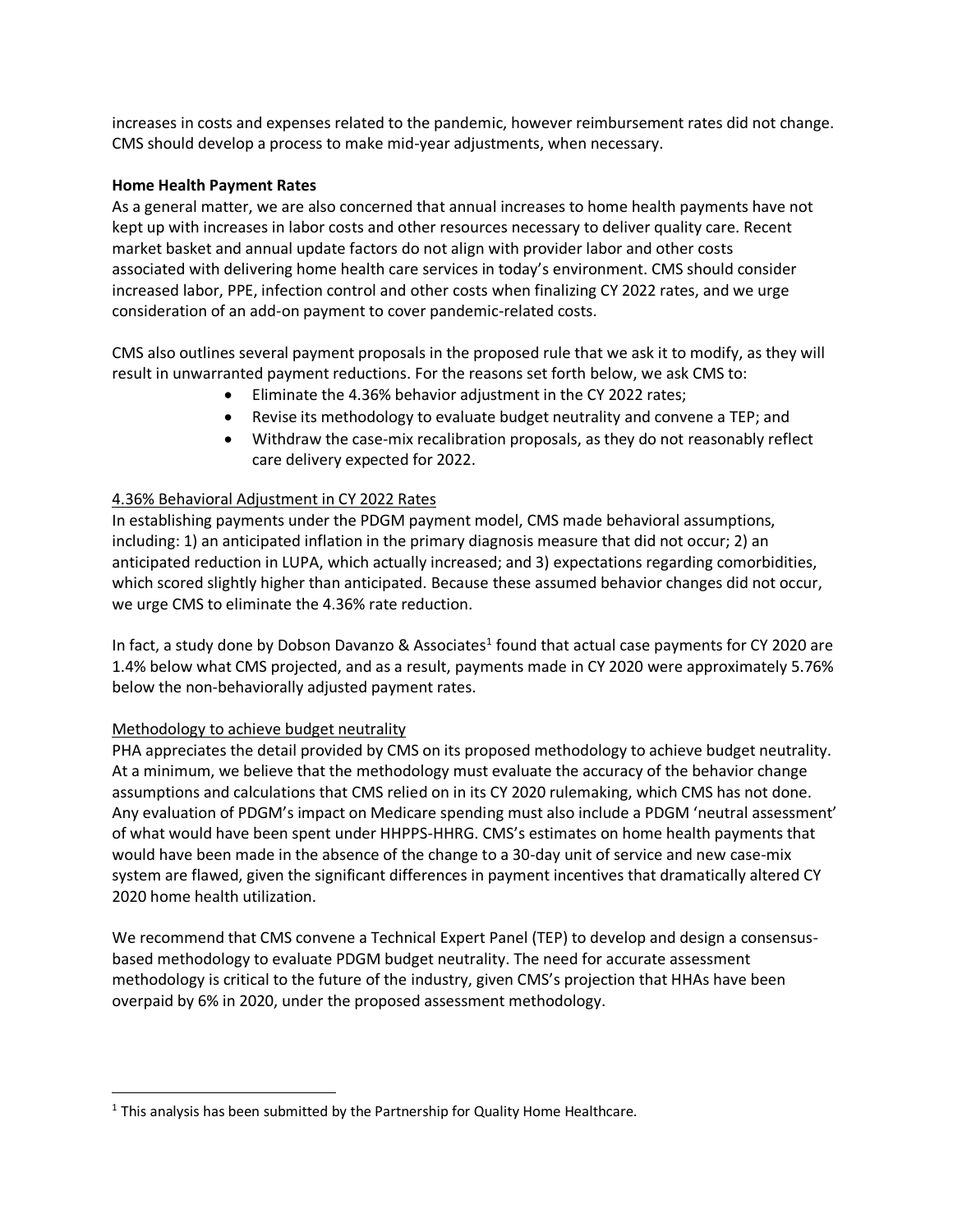increases in costs and expenses related to the pandemic, however reimbursement rates did not change. CMS should develop a process to make mid-year adjustments, when necessary.

## **Home Health Payment Rates**

As a general matter, we are also concerned that annual increases to home health payments have not kept up with increases in labor costs and other resources necessary to deliver quality care. Recent market basket and annual update factors do not align with provider labor and other costs associated with delivering home health care services in today's environment. CMS should consider increased labor, PPE, infection control and other costs when finalizing CY 2022 rates, and we urge consideration of an add-on payment to cover pandemic-related costs.

CMS also outlines several payment proposals in the proposed rule that we ask it to modify, as they will result in unwarranted payment reductions. For the reasons set forth below, we ask CMS to:

- Eliminate the 4.36% behavior adjustment in the CY 2022 rates;
- Revise its methodology to evaluate budget neutrality and convene a TEP; and
- Withdraw the case-mix recalibration proposals, as they do not reasonably reflect care delivery expected for 2022.

# 4.36% Behavioral Adjustment in CY 2022 Rates

In establishing payments under the PDGM payment model, CMS made behavioral assumptions, including: 1) an anticipated inflation in the primary diagnosis measure that did not occur; 2) an anticipated reduction in LUPA, which actually increased; and 3) expectations regarding comorbidities, which scored slightly higher than anticipated. Because these assumed behavior changes did not occur, we urge CMS to eliminate the 4.36% rate reduction.

In fact, a study done by Dobson Davanzo & Associates<sup>1</sup> found that actual case payments for CY 2020 are 1.4% below what CMS projected, and as a result, payments made in CY 2020 were approximately 5.76% below the non-behaviorally adjusted payment rates.

# Methodology to achieve budget neutrality

PHA appreciates the detail provided by CMS on its proposed methodology to achieve budget neutrality. At a minimum, we believe that the methodology must evaluate the accuracy of the behavior change assumptions and calculations that CMS relied on in its CY 2020 rulemaking, which CMS has not done. Any evaluation of PDGM's impact on Medicare spending must also include a PDGM 'neutral assessment' of what would have been spent under HHPPS-HHRG. CMS's estimates on home health payments that would have been made in the absence of the change to a 30-day unit of service and new case-mix system are flawed, given the significant differences in payment incentives that dramatically altered CY 2020 home health utilization.

We recommend that CMS convene a Technical Expert Panel (TEP) to develop and design a consensusbased methodology to evaluate PDGM budget neutrality. The need for accurate assessment methodology is critical to the future of the industry, given CMS's projection that HHAs have been overpaid by 6% in 2020, under the proposed assessment methodology.

 $1$  This analysis has been submitted by the Partnership for Quality Home Healthcare.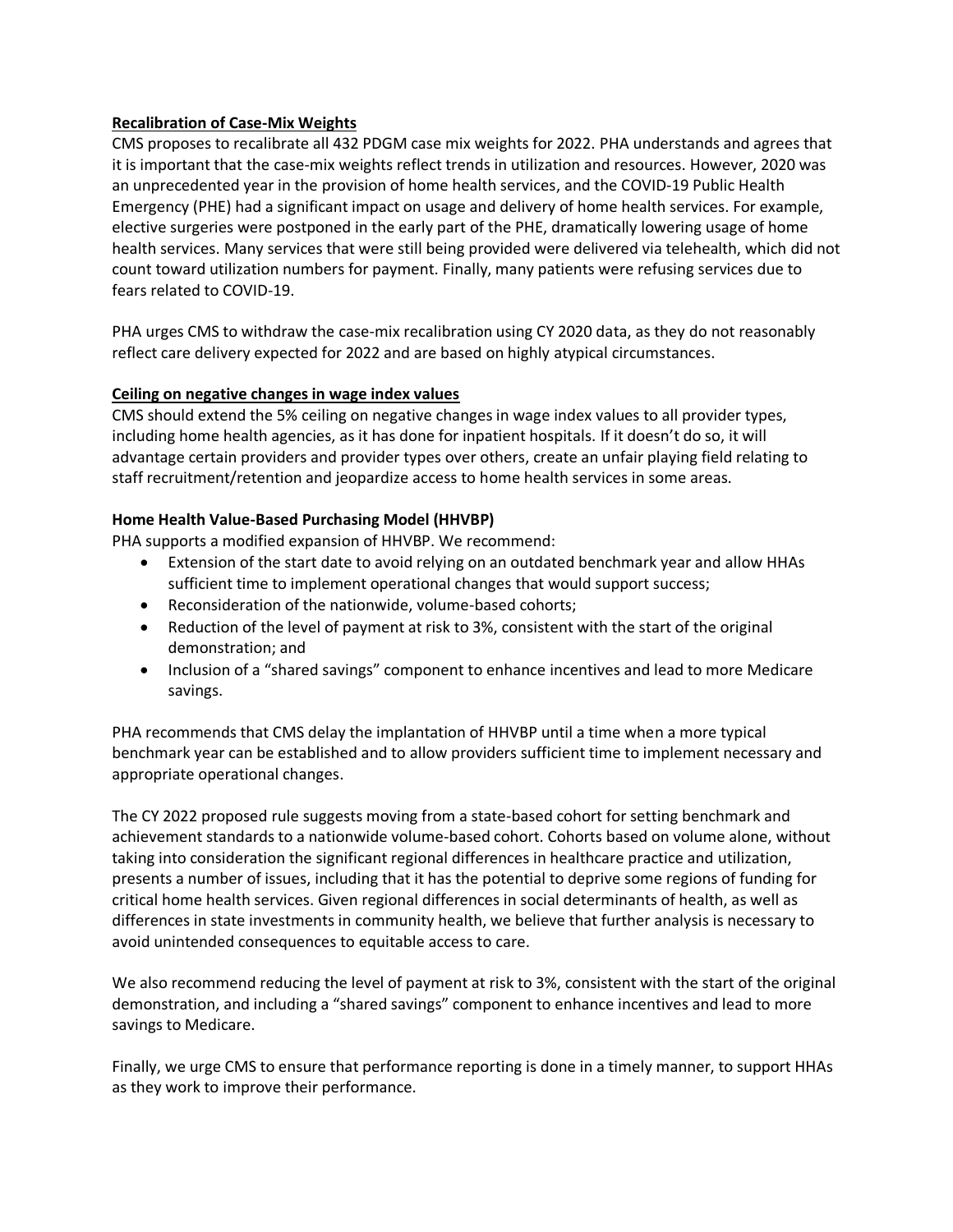# **Recalibration of Case-Mix Weights**

CMS proposes to recalibrate all 432 PDGM case mix weights for 2022. PHA understands and agrees that it is important that the case-mix weights reflect trends in utilization and resources. However, 2020 was an unprecedented year in the provision of home health services, and the COVID-19 Public Health Emergency (PHE) had a significant impact on usage and delivery of home health services. For example, elective surgeries were postponed in the early part of the PHE, dramatically lowering usage of home health services. Many services that were still being provided were delivered via telehealth, which did not count toward utilization numbers for payment. Finally, many patients were refusing services due to fears related to COVID-19.

PHA urges CMS to withdraw the case-mix recalibration using CY 2020 data, as they do not reasonably reflect care delivery expected for 2022 and are based on highly atypical circumstances.

# **Ceiling on negative changes in wage index values**

CMS should extend the 5% ceiling on negative changes in wage index values to all provider types, including home health agencies, as it has done for inpatient hospitals. If it doesn't do so, it will advantage certain providers and provider types over others, create an unfair playing field relating to staff recruitment/retention and jeopardize access to home health services in some areas.

# **Home Health Value-Based Purchasing Model (HHVBP)**

PHA supports a modified expansion of HHVBP. We recommend:

- Extension of the start date to avoid relying on an outdated benchmark year and allow HHAs sufficient time to implement operational changes that would support success;
- Reconsideration of the nationwide, volume-based cohorts;
- Reduction of the level of payment at risk to 3%, consistent with the start of the original demonstration; and
- Inclusion of a "shared savings" component to enhance incentives and lead to more Medicare savings.

PHA recommends that CMS delay the implantation of HHVBP until a time when a more typical benchmark year can be established and to allow providers sufficient time to implement necessary and appropriate operational changes.

The CY 2022 proposed rule suggests moving from a state-based cohort for setting benchmark and achievement standards to a nationwide volume-based cohort. Cohorts based on volume alone, without taking into consideration the significant regional differences in healthcare practice and utilization, presents a number of issues, including that it has the potential to deprive some regions of funding for critical home health services. Given regional differences in social determinants of health, as well as differences in state investments in community health, we believe that further analysis is necessary to avoid unintended consequences to equitable access to care.

We also recommend reducing the level of payment at risk to 3%, consistent with the start of the original demonstration, and including a "shared savings" component to enhance incentives and lead to more savings to Medicare.

Finally, we urge CMS to ensure that performance reporting is done in a timely manner, to support HHAs as they work to improve their performance.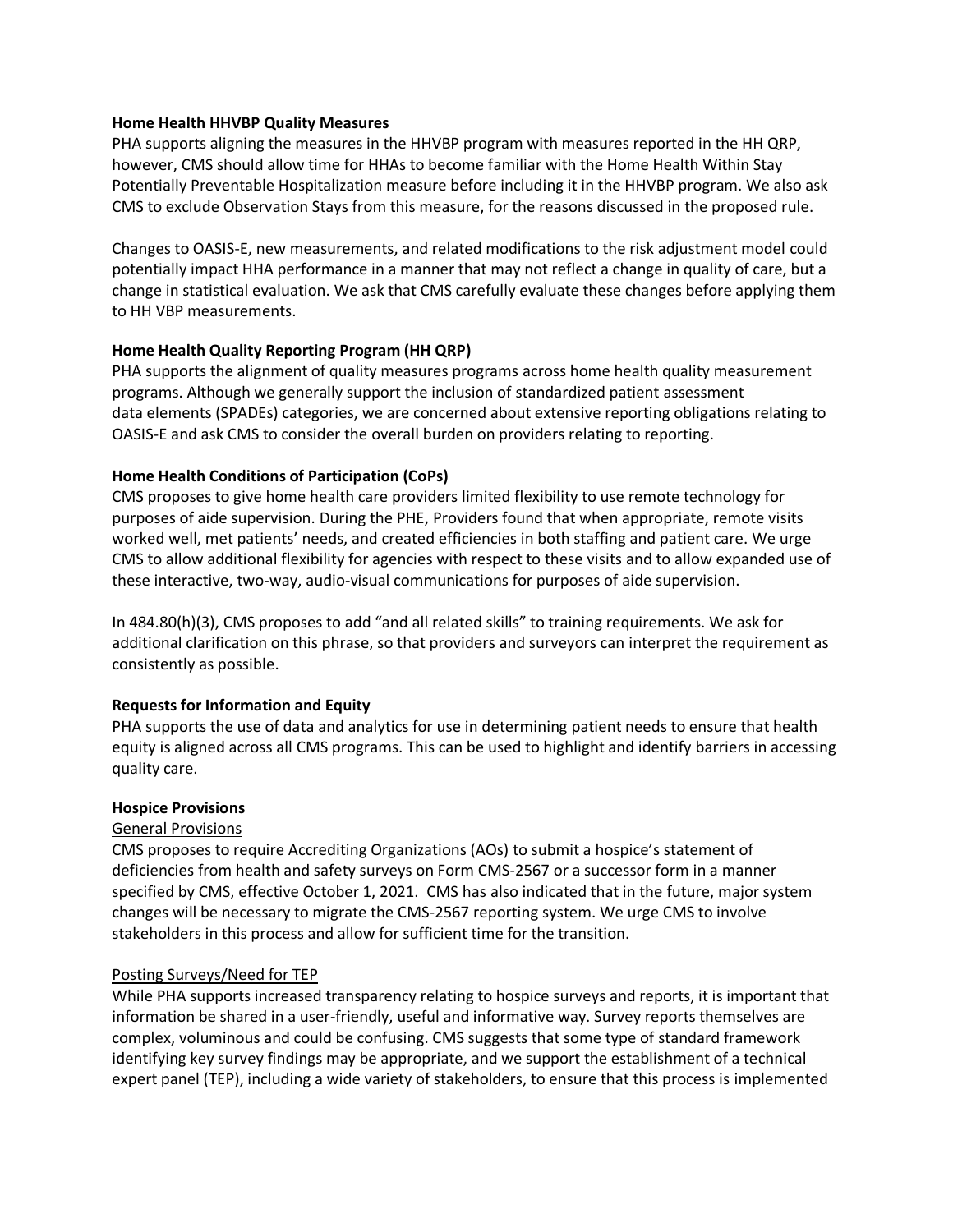#### **Home Health HHVBP Quality Measures**

PHA supports aligning the measures in the HHVBP program with measures reported in the HH QRP, however, CMS should allow time for HHAs to become familiar with the Home Health Within Stay Potentially Preventable Hospitalization measure before including it in the HHVBP program. We also ask CMS to exclude Observation Stays from this measure, for the reasons discussed in the proposed rule.

Changes to OASIS-E, new measurements, and related modifications to the risk adjustment model could potentially impact HHA performance in a manner that may not reflect a change in quality of care, but a change in statistical evaluation. We ask that CMS carefully evaluate these changes before applying them to HH VBP measurements.

## **Home Health Quality Reporting Program (HH QRP)**

PHA supports the alignment of quality measures programs across home health quality measurement programs. Although we generally support the inclusion of standardized patient assessment data elements (SPADEs) categories, we are concerned about extensive reporting obligations relating to OASIS-E and ask CMS to consider the overall burden on providers relating to reporting.

#### **Home Health Conditions of Participation (CoPs)**

CMS proposes to give home health care providers limited flexibility to use remote technology for purposes of aide supervision. During the PHE, Providers found that when appropriate, remote visits worked well, met patients' needs, and created efficiencies in both staffing and patient care. We urge CMS to allow additional flexibility for agencies with respect to these visits and to allow expanded use of these interactive, two-way, audio-visual communications for purposes of aide supervision.

In 484.80(h)(3), CMS proposes to add "and all related skills" to training requirements. We ask for additional clarification on this phrase, so that providers and surveyors can interpret the requirement as consistently as possible.

## **Requests for Information and Equity**

PHA supports the use of data and analytics for use in determining patient needs to ensure that health equity is aligned across all CMS programs. This can be used to highlight and identify barriers in accessing quality care.

#### **Hospice Provisions**

#### General Provisions

CMS proposes to require Accrediting Organizations (AOs) to submit a hospice's statement of deficiencies from health and safety surveys on Form CMS-2567 or a successor form in a manner specified by CMS, effective October 1, 2021. CMS has also indicated that in the future, major system changes will be necessary to migrate the CMS-2567 reporting system. We urge CMS to involve stakeholders in this process and allow for sufficient time for the transition.

#### Posting Surveys/Need for TEP

While PHA supports increased transparency relating to hospice surveys and reports, it is important that information be shared in a user-friendly, useful and informative way. Survey reports themselves are complex, voluminous and could be confusing. CMS suggests that some type of standard framework identifying key survey findings may be appropriate, and we support the establishment of a technical expert panel (TEP), including a wide variety of stakeholders, to ensure that this process is implemented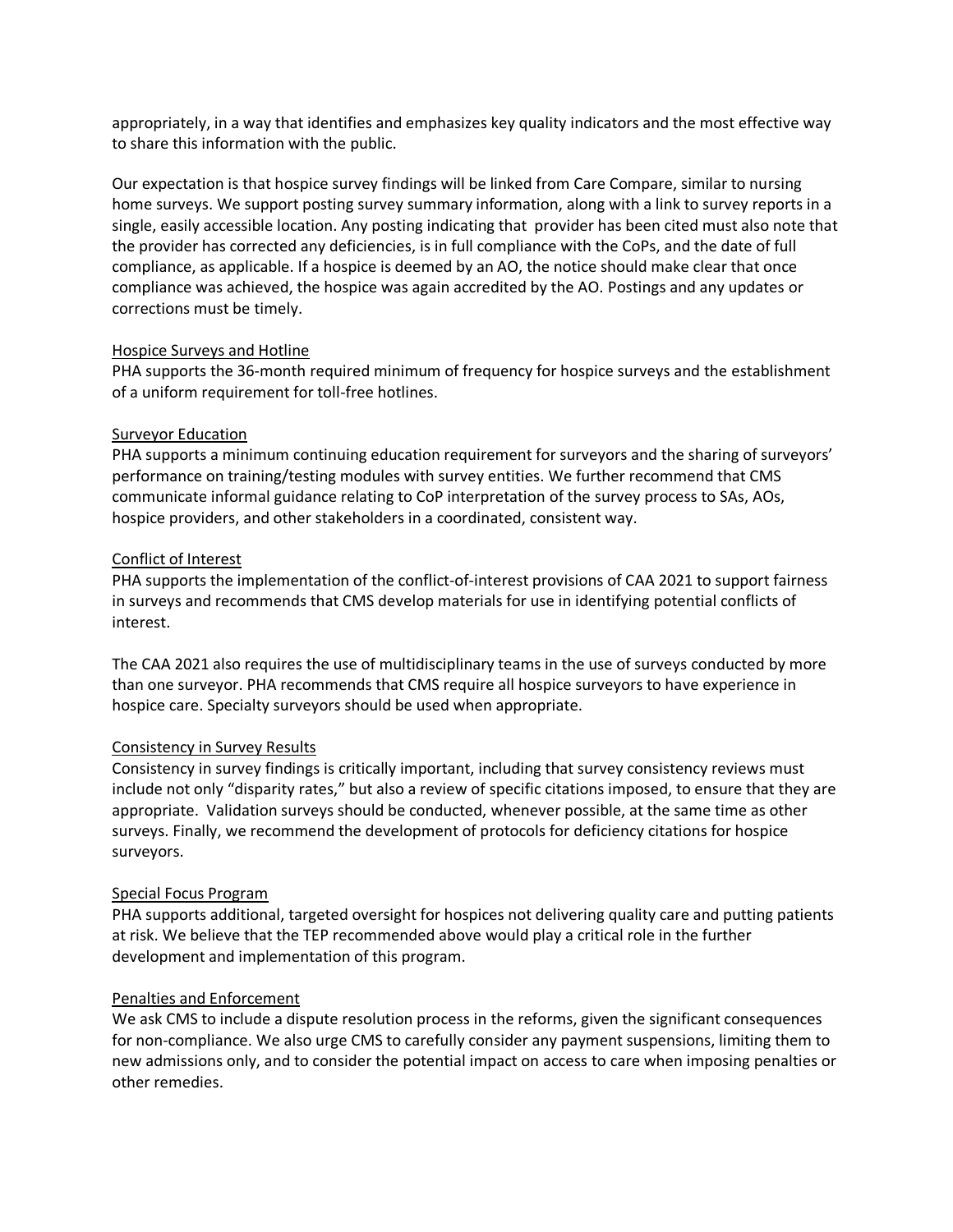appropriately, in a way that identifies and emphasizes key quality indicators and the most effective way to share this information with the public.

Our expectation is that hospice survey findings will be linked from Care Compare, similar to nursing home surveys. We support posting survey summary information, along with a link to survey reports in a single, easily accessible location. Any posting indicating that provider has been cited must also note that the provider has corrected any deficiencies, is in full compliance with the CoPs, and the date of full compliance, as applicable. If a hospice is deemed by an AO, the notice should make clear that once compliance was achieved, the hospice was again accredited by the AO. Postings and any updates or corrections must be timely.

## Hospice Surveys and Hotline

PHA supports the 36-month required minimum of frequency for hospice surveys and the establishment of a uniform requirement for toll-free hotlines.

# Surveyor Education

PHA supports a minimum continuing education requirement for surveyors and the sharing of surveyors' performance on training/testing modules with survey entities. We further recommend that CMS communicate informal guidance relating to CoP interpretation of the survey process to SAs, AOs, hospice providers, and other stakeholders in a coordinated, consistent way.

# Conflict of Interest

PHA supports the implementation of the conflict-of-interest provisions of CAA 2021 to support fairness in surveys and recommends that CMS develop materials for use in identifying potential conflicts of interest.

The CAA 2021 also requires the use of multidisciplinary teams in the use of surveys conducted by more than one surveyor. PHA recommends that CMS require all hospice surveyors to have experience in hospice care. Specialty surveyors should be used when appropriate.

# Consistency in Survey Results

Consistency in survey findings is critically important, including that survey consistency reviews must include not only "disparity rates," but also a review of specific citations imposed, to ensure that they are appropriate. Validation surveys should be conducted, whenever possible, at the same time as other surveys. Finally, we recommend the development of protocols for deficiency citations for hospice surveyors.

## Special Focus Program

PHA supports additional, targeted oversight for hospices not delivering quality care and putting patients at risk. We believe that the TEP recommended above would play a critical role in the further development and implementation of this program.

# Penalties and Enforcement

We ask CMS to include a dispute resolution process in the reforms, given the significant consequences for non-compliance. We also urge CMS to carefully consider any payment suspensions, limiting them to new admissions only, and to consider the potential impact on access to care when imposing penalties or other remedies.